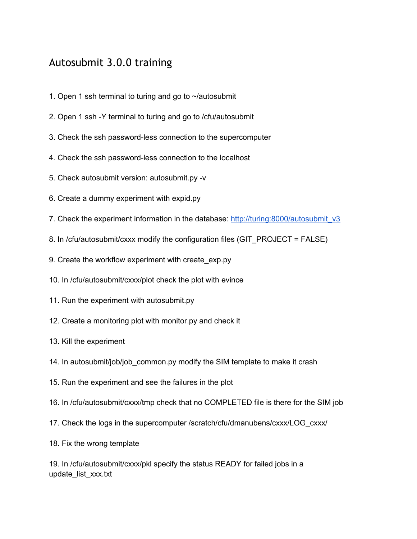## Autosubmit 3.0.0 training

- 1. Open 1 ssh terminal to turing and go to ~/autosubmit
- 2. Open 1 ssh -Y terminal to turing and go to /cfu/autosubmit
- 3. Check the ssh password-less connection to the supercomputer
- 4. Check the ssh password-less connection to the localhost
- 5. Check autosubmit version: autosubmit.py -v
- 6. Create a dummy experiment with expid.py
- 7. Check the experiment information in the database: [http://turing:8000/autosubmit\\_v3](http://www.google.com/url?q=http%3A%2F%2Fturing%3A8000%2Fautosubmit_v3&sa=D&sntz=1&usg=AFQjCNFCL-k5t7k7SZFzMJJmKJXE5mpcoA)
- 8. In /cfu/autosubmit/cxxx modify the configuration files (GIT\_PROJECT = FALSE)
- 9. Create the workflow experiment with create\_exp.py
- 10. In /cfu/autosubmit/cxxx/plot check the plot with evince
- 11. Run the experiment with autosubmit.py
- 12. Create a monitoring plot with monitor.py and check it
- 13. Kill the experiment
- 14. In autosubmit/job/job\_common.py modify the SIM template to make it crash
- 15. Run the experiment and see the failures in the plot
- 16. In /cfu/autosubmit/cxxx/tmp check that no COMPLETED file is there for the SIM job
- 17. Check the logs in the supercomputer /scratch/cfu/dmanubens/cxxx/LOG\_cxxx/
- 18. Fix the wrong template

19. In /cfu/autosubmit/cxxx/pkl specify the status READY for failed jobs in a update\_list\_xxx.txt